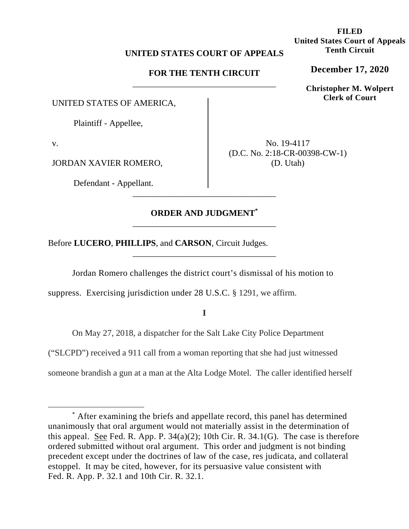## **UNITED STATES COURT OF APPEALS**

## **FOR THE TENTH CIRCUIT**  \_\_\_\_\_\_\_\_\_\_\_\_\_\_\_\_\_\_\_\_\_\_\_\_\_\_\_\_\_\_\_\_\_

UNITED STATES OF AMERICA,

Plaintiff - Appellee,

v.

JORDAN XAVIER ROMERO,

Defendant - Appellant.

No. 19-4117 (D.C. No. 2:18-CR-00398-CW-1) (D. Utah)

# **ORDER AND JUDGMENT\*** \_\_\_\_\_\_\_\_\_\_\_\_\_\_\_\_\_\_\_\_\_\_\_\_\_\_\_\_\_\_\_\_\_

\_\_\_\_\_\_\_\_\_\_\_\_\_\_\_\_\_\_\_\_\_\_\_\_\_\_\_\_\_\_\_\_\_

Before **LUCERO**, **PHILLIPS**, and **CARSON**, Circuit Judges.

Jordan Romero challenges the district court's dismissal of his motion to

\_\_\_\_\_\_\_\_\_\_\_\_\_\_\_\_\_\_\_\_\_\_\_\_\_\_\_\_\_\_\_\_\_

suppress. Exercising jurisdiction under 28 U.S.C. § 1291, we affirm.

**I** 

On May 27, 2018, a dispatcher for the Salt Lake City Police Department

("SLCPD") received a 911 call from a woman reporting that she had just witnessed

someone brandish a gun at a man at the Alta Lodge Motel. The caller identified herself

**FILED United States Court of Appeals Tenth Circuit** 

**December 17, 2020**

**Christopher M. Wolpert Clerk of Court**

<sup>\*</sup> After examining the briefs and appellate record, this panel has determined unanimously that oral argument would not materially assist in the determination of this appeal. See Fed. R. App. P.  $34(a)(2)$ ; 10th Cir. R.  $34.1(G)$ . The case is therefore ordered submitted without oral argument. This order and judgment is not binding precedent except under the doctrines of law of the case, res judicata, and collateral estoppel. It may be cited, however, for its persuasive value consistent with Fed. R. App. P. 32.1 and 10th Cir. R. 32.1.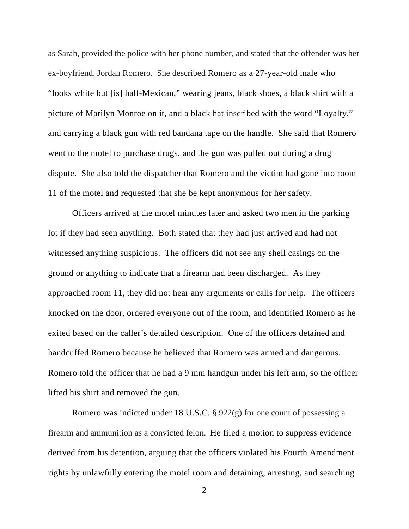as Sarah, provided the police with her phone number, and stated that the offender was her ex-boyfriend, Jordan Romero. She described Romero as a 27-year-old male who "looks white but [is] half-Mexican," wearing jeans, black shoes, a black shirt with a picture of Marilyn Monroe on it, and a black hat inscribed with the word "Loyalty," and carrying a black gun with red bandana tape on the handle. She said that Romero went to the motel to purchase drugs, and the gun was pulled out during a drug dispute. She also told the dispatcher that Romero and the victim had gone into room 11 of the motel and requested that she be kept anonymous for her safety.

 Officers arrived at the motel minutes later and asked two men in the parking lot if they had seen anything. Both stated that they had just arrived and had not witnessed anything suspicious.The officers did not see any shell casings on the ground or anything to indicate that a firearm had been discharged. As they approached room 11, they did not hear any arguments or calls for help. The officers knocked on the door, ordered everyone out of the room, and identified Romero as he exited based on the caller's detailed description. One of the officers detained and handcuffed Romero because he believed that Romero was armed and dangerous. Romero told the officer that he had a 9 mm handgun under his left arm, so the officer lifted his shirt and removed the gun.

 Romero was indicted under 18 U.S.C. § 922(g) for one count of possessing a firearm and ammunition as a convicted felon. He filed a motion to suppress evidence derived from his detention, arguing that the officers violated his Fourth Amendment rights by unlawfully entering the motel room and detaining, arresting, and searching

<sup>2</sup>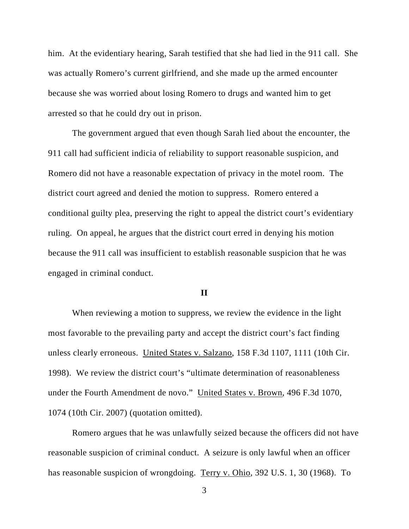him. At the evidentiary hearing, Sarah testified that she had lied in the 911 call. She was actually Romero's current girlfriend, and she made up the armed encounter because she was worried about losing Romero to drugs and wanted him to get arrested so that he could dry out in prison.

The government argued that even though Sarah lied about the encounter, the 911 call had sufficient indicia of reliability to support reasonable suspicion, and Romero did not have a reasonable expectation of privacy in the motel room. The district court agreed and denied the motion to suppress. Romero entered a conditional guilty plea, preserving the right to appeal the district court's evidentiary ruling. On appeal, he argues that the district court erred in denying his motion because the 911 call was insufficient to establish reasonable suspicion that he was engaged in criminal conduct.

### **II**

When reviewing a motion to suppress, we review the evidence in the light most favorable to the prevailing party and accept the district court's fact finding unless clearly erroneous. United States v. Salzano, 158 F.3d 1107, 1111 (10th Cir. 1998). We review the district court's "ultimate determination of reasonableness under the Fourth Amendment de novo." United States v. Brown, 496 F.3d 1070, 1074 (10th Cir. 2007) (quotation omitted).

Romero argues that he was unlawfully seized because the officers did not have reasonable suspicion of criminal conduct. A seizure is only lawful when an officer has reasonable suspicion of wrongdoing. Terry v. Ohio, 392 U.S. 1, 30 (1968). To

3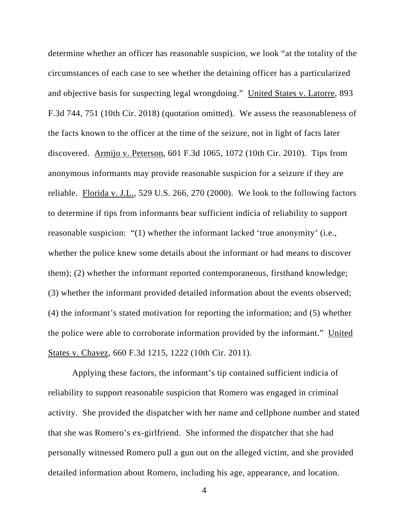determine whether an officer has reasonable suspicion, we look "at the totality of the circumstances of each case to see whether the detaining officer has a particularized and objective basis for suspecting legal wrongdoing." United States v. Latorre, 893 F.3d 744, 751 (10th Cir. 2018) (quotation omitted). We assess the reasonableness of the facts known to the officer at the time of the seizure, not in light of facts later discovered. Armijo v. Peterson, 601 F.3d 1065, 1072 (10th Cir. 2010). Tips from anonymous informants may provide reasonable suspicion for a seizure if they are reliable. Florida v. J.L., 529 U.S. 266, 270 (2000). We look to the following factors to determine if tips from informants bear sufficient indicia of reliability to support reasonable suspicion: "(1) whether the informant lacked 'true anonymity' (i.e., whether the police knew some details about the informant or had means to discover them); (2) whether the informant reported contemporaneous, firsthand knowledge; (3) whether the informant provided detailed information about the events observed; (4) the informant's stated motivation for reporting the information; and (5) whether the police were able to corroborate information provided by the informant." United States v. Chavez, 660 F.3d 1215, 1222 (10th Cir. 2011).

Applying these factors, the informant's tip contained sufficient indicia of reliability to support reasonable suspicion that Romero was engaged in criminal activity. She provided the dispatcher with her name and cellphone number and stated that she was Romero's ex-girlfriend. She informed the dispatcher that she had personally witnessed Romero pull a gun out on the alleged victim, and she provided detailed information about Romero, including his age, appearance, and location.

4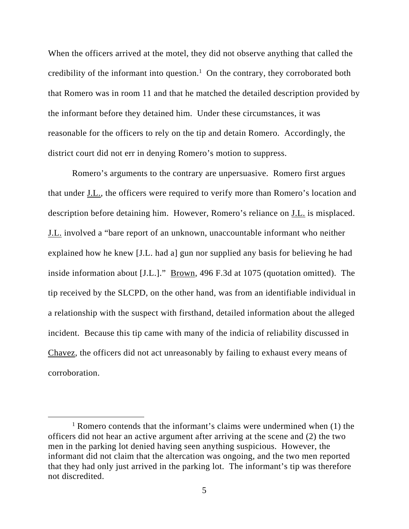When the officers arrived at the motel, they did not observe anything that called the credibility of the informant into question.<sup>1</sup> On the contrary, they corroborated both that Romero was in room 11 and that he matched the detailed description provided by the informant before they detained him. Under these circumstances, it was reasonable for the officers to rely on the tip and detain Romero. Accordingly, the district court did not err in denying Romero's motion to suppress.

Romero's arguments to the contrary are unpersuasive. Romero first argues that under J.L., the officers were required to verify more than Romero's location and description before detaining him. However, Romero's reliance on J.L. is misplaced. J.L. involved a "bare report of an unknown, unaccountable informant who neither explained how he knew [J.L. had a] gun nor supplied any basis for believing he had inside information about [J.L.]." Brown, 496 F.3d at 1075 (quotation omitted). The tip received by the SLCPD, on the other hand, was from an identifiable individual in a relationship with the suspect with firsthand, detailed information about the alleged incident. Because this tip came with many of the indicia of reliability discussed in Chavez, the officers did not act unreasonably by failing to exhaust every means of corroboration.

<sup>&</sup>lt;sup>1</sup> Romero contends that the informant's claims were undermined when (1) the officers did not hear an active argument after arriving at the scene and (2) the two men in the parking lot denied having seen anything suspicious. However, the informant did not claim that the altercation was ongoing, and the two men reported that they had only just arrived in the parking lot. The informant's tip was therefore not discredited.